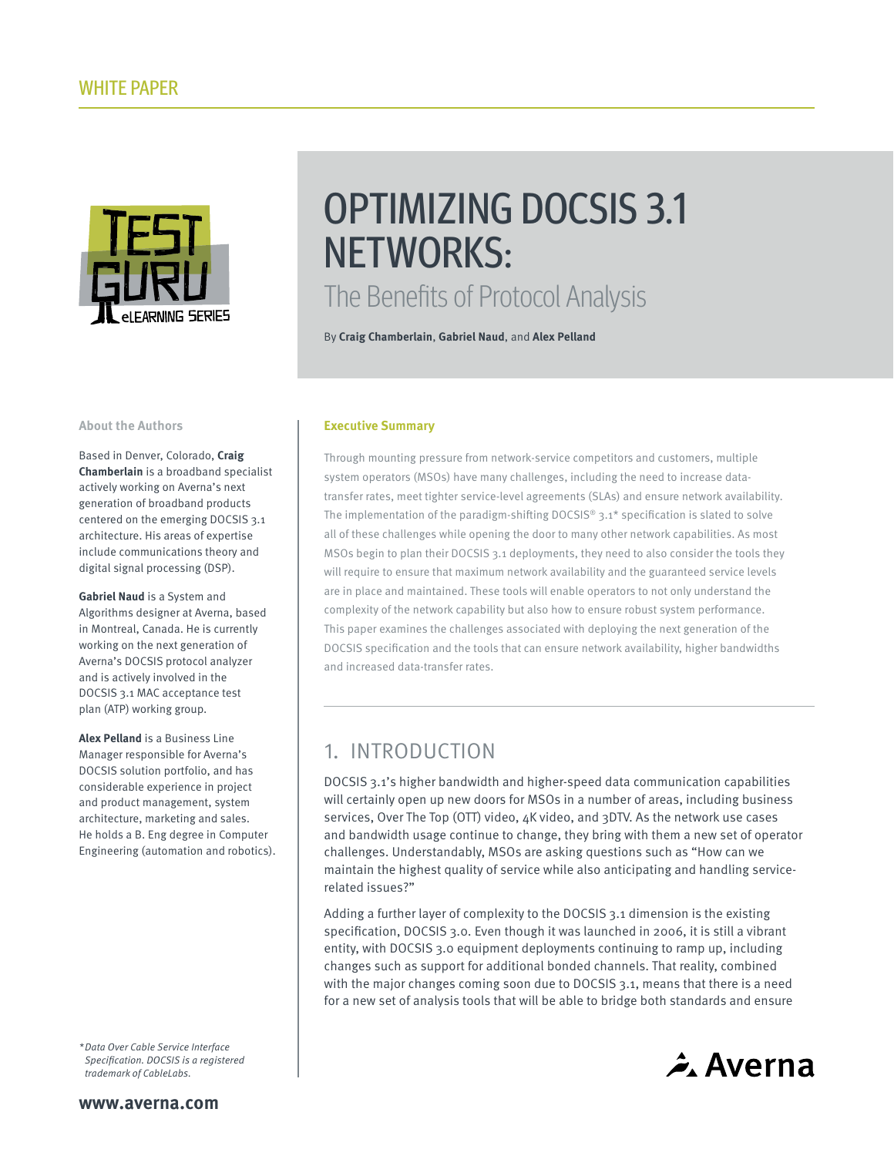

# OPTIMIZING DOCSIS 3.1 NETWORKS: The Benefits of Protocol Analysis

By **Craig Chamberlain**, **Gabriel Naud**, and **Alex Pelland**

#### **About the Authors**

Based in Denver, Colorado, **Craig Chamberlain** is a broadband specialist actively working on Averna's next generation of broadband products centered on the emerging DOCSIS 3.1 architecture. His areas of expertise include communications theory and digital signal processing (DSP).

**Gabriel Naud** is a System and Algorithms designer at Averna, based in Montreal, Canada. He is currently working on the next generation of Averna's DOCSIS protocol analyzer and is actively involved in the DOCSIS 3.1 MAC acceptance test plan (ATP) working group.

**Alex Pelland** is a Business Line Manager responsible for Averna's DOCSIS solution portfolio, and has considerable experience in project and product management, system architecture, marketing and sales. He holds a B. Eng degree in Computer Engineering (automation and robotics).

\* Data Over Cable Service Interface Specification. DOCSIS is a registered trademark of CableLabs.

#### **Executive Summary**

Through mounting pressure from network-service competitors and customers, multiple system operators (MSOs) have many challenges, including the need to increase datatransfer rates, meet tighter service-level agreements (SLAs) and ensure network availability. The implementation of the paradigm-shifting DOCSIS® 3.1\* specification is slated to solve all of these challenges while opening the door to many other network capabilities. As most MSOs begin to plan their DOCSIS 3.1 deployments, they need to also consider the tools they will require to ensure that maximum network availability and the guaranteed service levels are in place and maintained. These tools will enable operators to not only understand the complexity of the network capability but also how to ensure robust system performance. This paper examines the challenges associated with deploying the next generation of the DOCSIS specification and the tools that can ensure network availability, higher bandwidths and increased data-transfer rates.

## 1. INTRODUCTION

DOCSIS 3.1's higher bandwidth and higher-speed data communication capabilities will certainly open up new doors for MSOs in a number of areas, including business services, Over The Top (OTT) video, 4K video, and 3DTV. As the network use cases and bandwidth usage continue to change, they bring with them a new set of operator challenges. Understandably, MSOs are asking questions such as "How can we maintain the highest quality of service while also anticipating and handling servicerelated issues?"

Adding a further layer of complexity to the DOCSIS 3.1 dimension is the existing specification, DOCSIS 3.0. Even though it was launched in 2006, it is still a vibrant entity, with DOCSIS 3.0 equipment deployments continuing to ramp up, including changes such as support for additional bonded channels. That reality, combined with the major changes coming soon due to DOCSIS 3.1, means that there is a need for a new set of analysis tools that will be able to bridge both standards and ensure

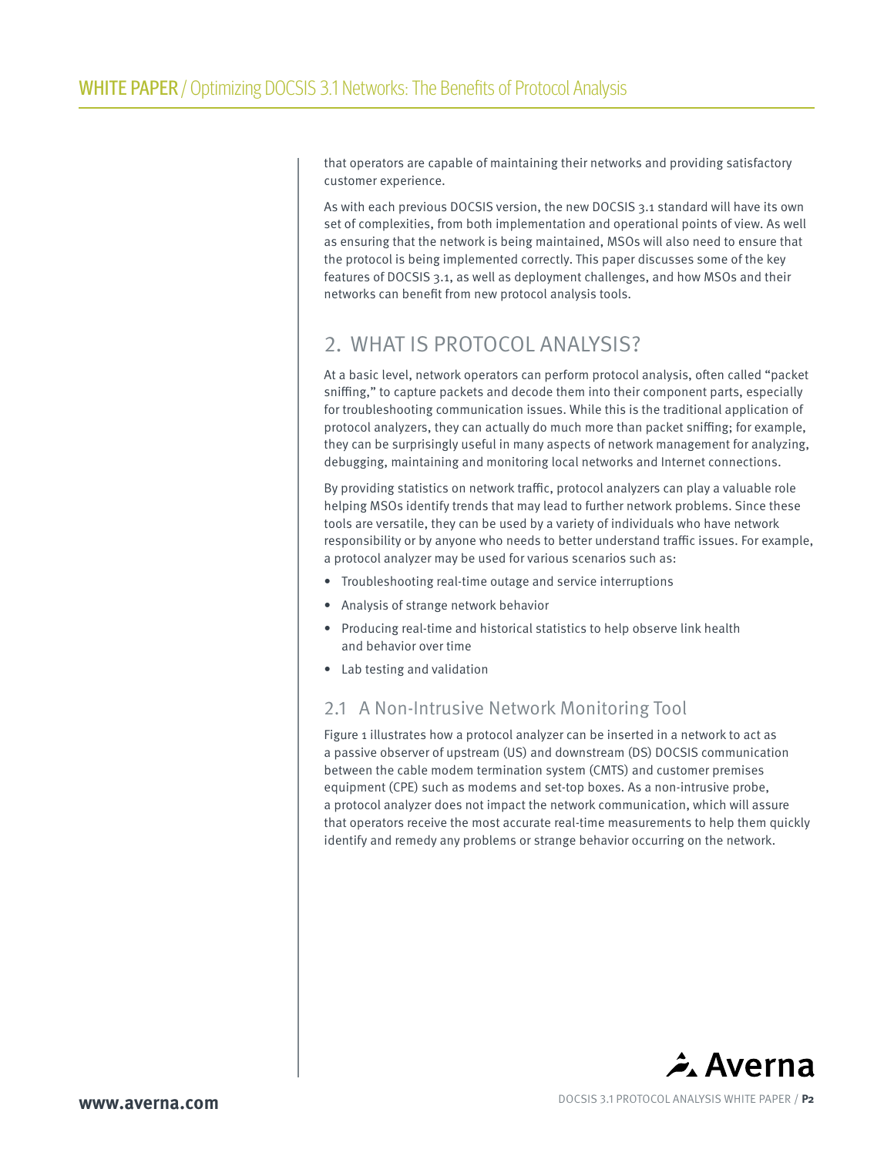that operators are capable of maintaining their networks and providing satisfactory customer experience.

As with each previous DOCSIS version, the new DOCSIS 3.1 standard will have its own set of complexities, from both implementation and operational points of view. As well as ensuring that the network is being maintained, MSOs will also need to ensure that the protocol is being implemented correctly. This paper discusses some of the key features of DOCSIS 3.1, as well as deployment challenges, and how MSOs and their networks can benefit from new protocol analysis tools.

# 2. WHAT IS PROTOCOL ANALYSIS?

At a basic level, network operators can perform protocol analysis, often called "packet sniffing," to capture packets and decode them into their component parts, especially for troubleshooting communication issues. While this is the traditional application of protocol analyzers, they can actually do much more than packet sniffing; for example, they can be surprisingly useful in many aspects of network management for analyzing, debugging, maintaining and monitoring local networks and Internet connections.

By providing statistics on network traffic, protocol analyzers can play a valuable role helping MSOs identify trends that may lead to further network problems. Since these tools are versatile, they can be used by a variety of individuals who have network responsibility or by anyone who needs to better understand traffic issues. For example, a protocol analyzer may be used for various scenarios such as:

- Troubleshooting real-time outage and service interruptions
- Analysis of strange network behavior
- Producing real-time and historical statistics to help observe link health and behavior over time
- Lab testing and validation

## 2.1 A Non-Intrusive Network Monitoring Tool

Figure 1 illustrates how a protocol analyzer can be inserted in a network to act as a passive observer of upstream (US) and downstream (DS) DOCSIS communication between the cable modem termination system (CMTS) and customer premises equipment (CPE) such as modems and set-top boxes. As a non-intrusive probe, a protocol analyzer does not impact the network communication, which will assure that operators receive the most accurate real-time measurements to help them quickly identify and remedy any problems or strange behavior occurring on the network.

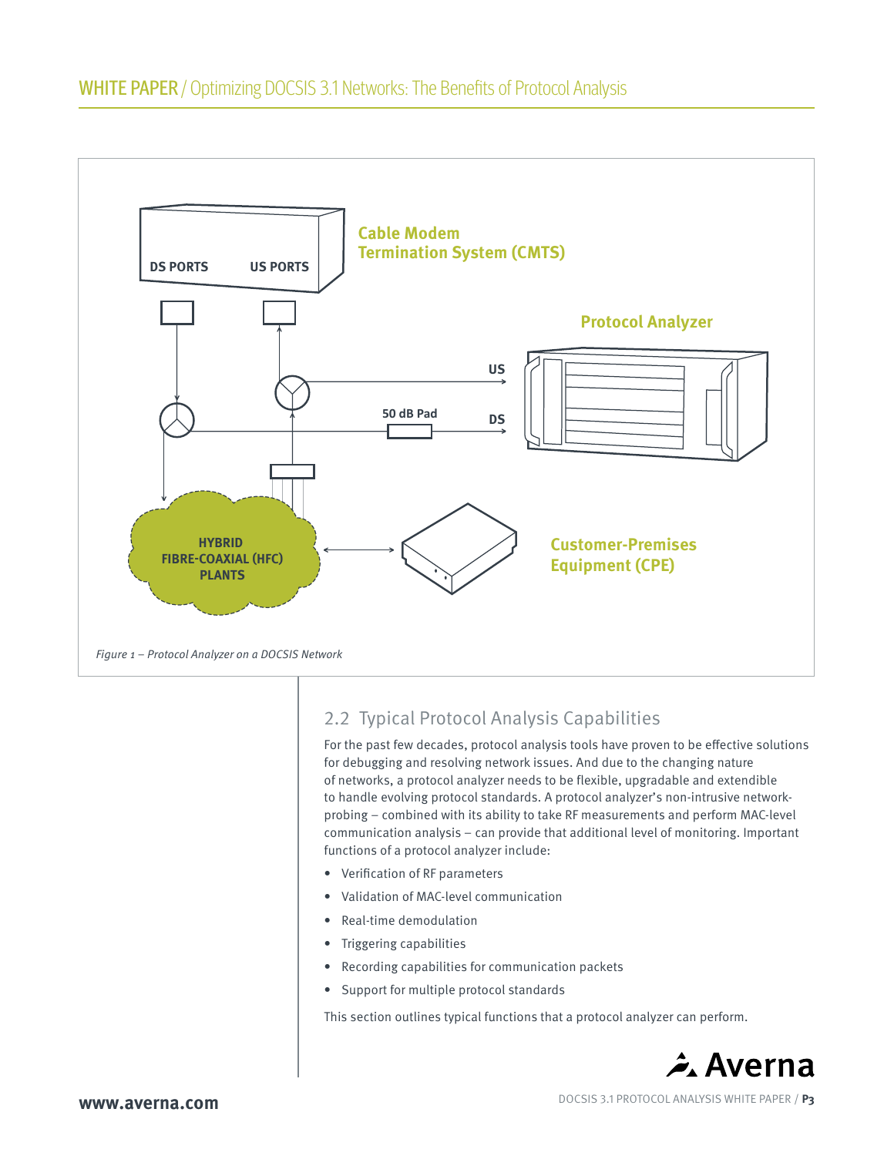

# 2.2 Typical Protocol Analysis Capabilities

For the past few decades, protocol analysis tools have proven to be effective solutions for debugging and resolving network issues. And due to the changing nature of networks, a protocol analyzer needs to be flexible, upgradable and extendible to handle evolving protocol standards. A protocol analyzer's non-intrusive networkprobing – combined with its ability to take RF measurements and perform MAC-level communication analysis – can provide that additional level of monitoring. Important functions of a protocol analyzer include:

- Verification of RF parameters
- Validation of MAC-level communication
- Real-time demodulation
- Triggering capabilities
- Recording capabilities for communication packets
- Support for multiple protocol standards

This section outlines typical functions that a protocol analyzer can perform.

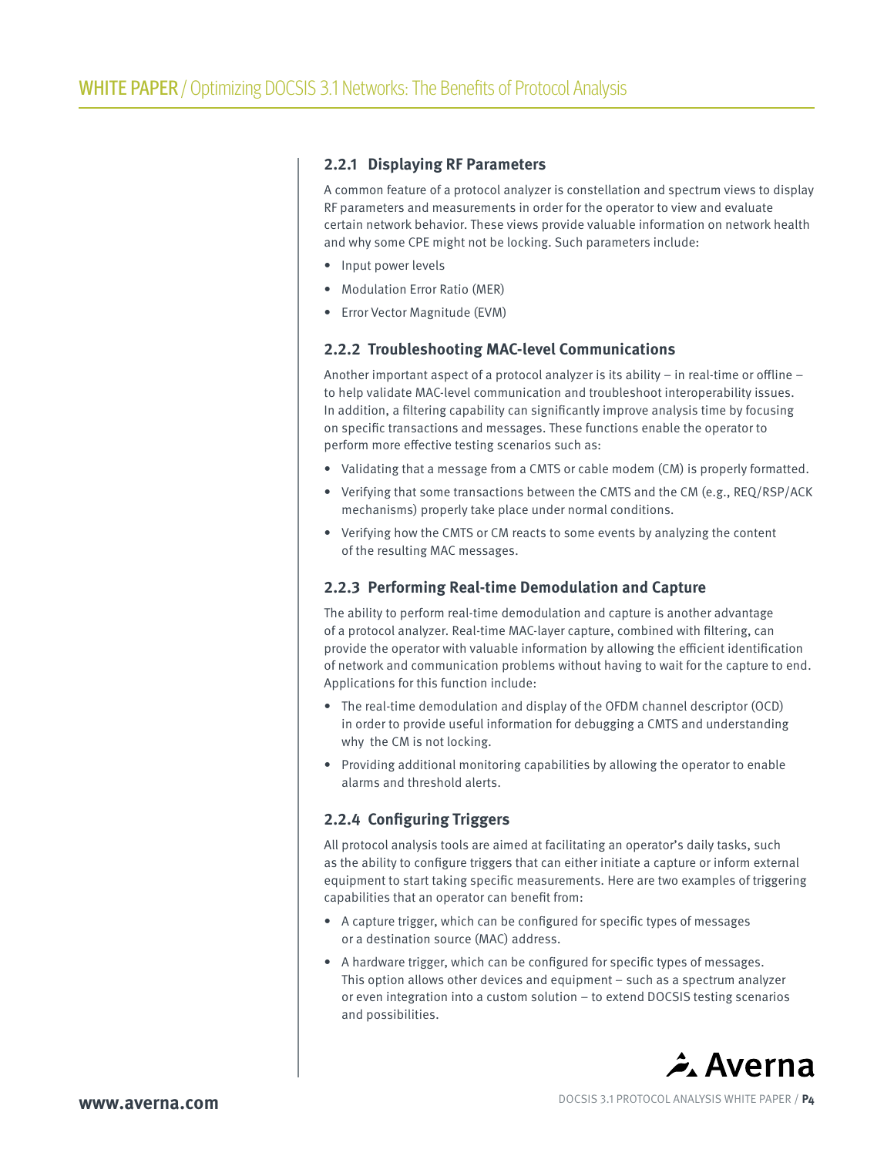#### **2.2.1 Displaying RF Parameters**

A common feature of a protocol analyzer is constellation and spectrum views to display RF parameters and measurements in order for the operator to view and evaluate certain network behavior. These views provide valuable information on network health and why some CPE might not be locking. Such parameters include:

- Input power levels
- Modulation Error Ratio (MER)
- Error Vector Magnitude (EVM)

#### **2.2.2 Troubleshooting MAC-level Communications**

Another important aspect of a protocol analyzer is its ability – in real-time or offline – to help validate MAC-level communication and troubleshoot interoperability issues. In addition, a filtering capability can significantly improve analysis time by focusing on specific transactions and messages. These functions enable the operator to perform more effective testing scenarios such as:

- Validating that a message from a CMTS or cable modem (CM) is properly formatted.
- Verifying that some transactions between the CMTS and the CM (e.g., REQ/RSP/ACK mechanisms) properly take place under normal conditions.
- Verifying how the CMTS or CM reacts to some events by analyzing the content of the resulting MAC messages.

#### **2.2.3 Performing Real-time Demodulation and Capture**

The ability to perform real-time demodulation and capture is another advantage of a protocol analyzer. Real-time MAC-layer capture, combined with filtering, can provide the operator with valuable information by allowing the efficient identification of network and communication problems without having to wait for the capture to end. Applications for this function include:

- The real-time demodulation and display of the OFDM channel descriptor (OCD) in order to provide useful information for debugging a CMTS and understanding why the CM is not locking.
- Providing additional monitoring capabilities by allowing the operator to enable alarms and threshold alerts.

### **2.2.4 Configuring Triggers**

All protocol analysis tools are aimed at facilitating an operator's daily tasks, such as the ability to configure triggers that can either initiate a capture or inform external equipment to start taking specific measurements. Here are two examples of triggering capabilities that an operator can benefit from:

- A capture trigger, which can be configured for specific types of messages or a destination source (MAC) address.
- A hardware trigger, which can be configured for specific types of messages. This option allows other devices and equipment – such as a spectrum analyzer or even integration into a custom solution – to extend DOCSIS testing scenarios and possibilities.

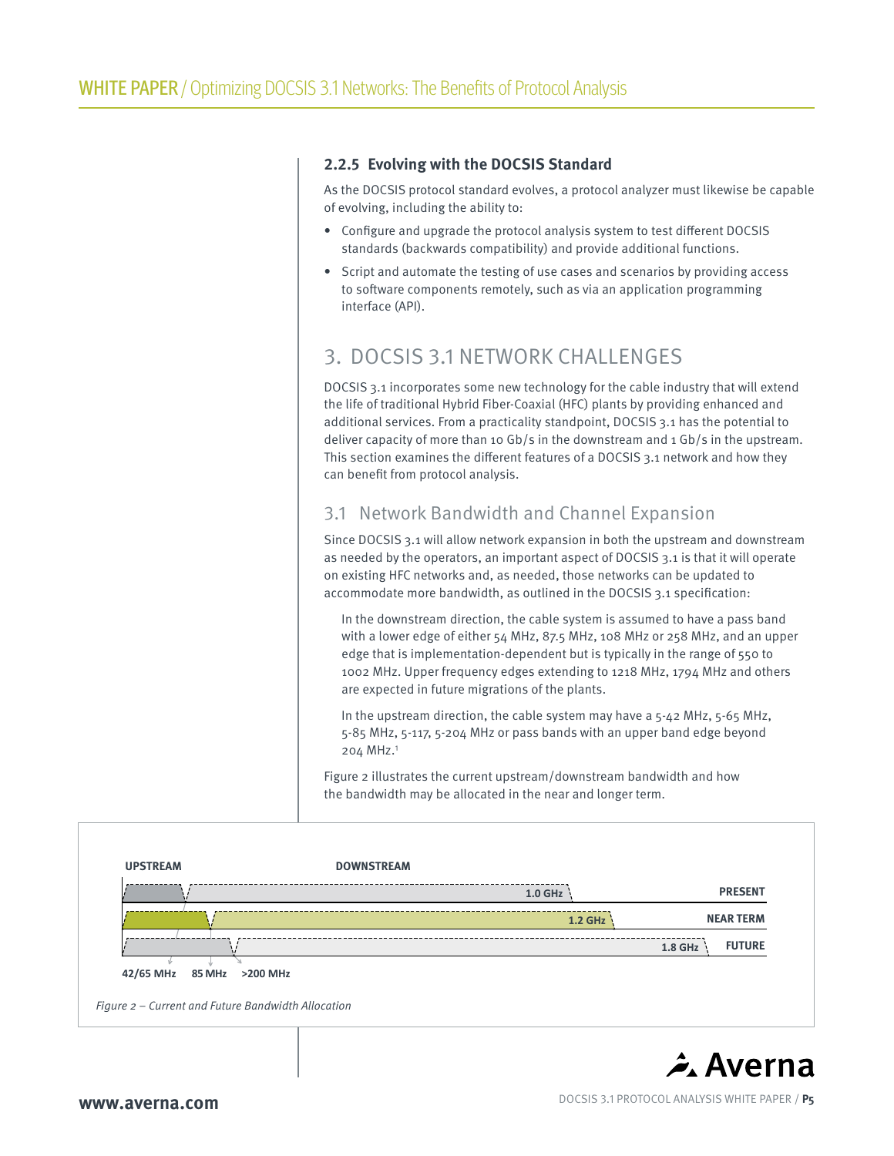### **2.2.5 Evolving with the DOCSIS Standard**

As the DOCSIS protocol standard evolves, a protocol analyzer must likewise be capable of evolving, including the ability to:

- Configure and upgrade the protocol analysis system to test different DOCSIS standards (backwards compatibility) and provide additional functions.
- Script and automate the testing of use cases and scenarios by providing access to software components remotely, such as via an application programming interface (API).

# 3. DOCSIS 3.1 NETWORK CHALLENGES

DOCSIS 3.1 incorporates some new technology for the cable industry that will extend the life of traditional Hybrid Fiber-Coaxial (HFC) plants by providing enhanced and additional services. From a practicality standpoint, DOCSIS 3.1 has the potential to deliver capacity of more than 10 Gb/s in the downstream and 1 Gb/s in the upstream. This section examines the different features of a DOCSIS 3.1 network and how they can benefit from protocol analysis.

## 3.1 Network Bandwidth and Channel Expansion

Since DOCSIS 3.1 will allow network expansion in both the upstream and downstream as needed by the operators, an important aspect of DOCSIS 3.1 is that it will operate on existing HFC networks and, as needed, those networks can be updated to accommodate more bandwidth, as outlined in the DOCSIS 3.1 specification:

In the downstream direction, the cable system is assumed to have a pass band with a lower edge of either 54 MHz, 87.5 MHz, 108 MHz or 258 MHz, and an upper edge that is implementation-dependent but is typically in the range of 550 to 1002 MHz. Upper frequency edges extending to 1218 MHz, 1794 MHz and others are expected in future migrations of the plants.

In the upstream direction, the cable system may have a 5-42 MHz, 5-65 MHz, 5-85 MHz, 5-117, 5-204 MHz or pass bands with an upper band edge beyond 204 MHz.1

Figure 2 illustrates the current upstream/downstream bandwidth and how the bandwidth may be allocated in the near and longer term.



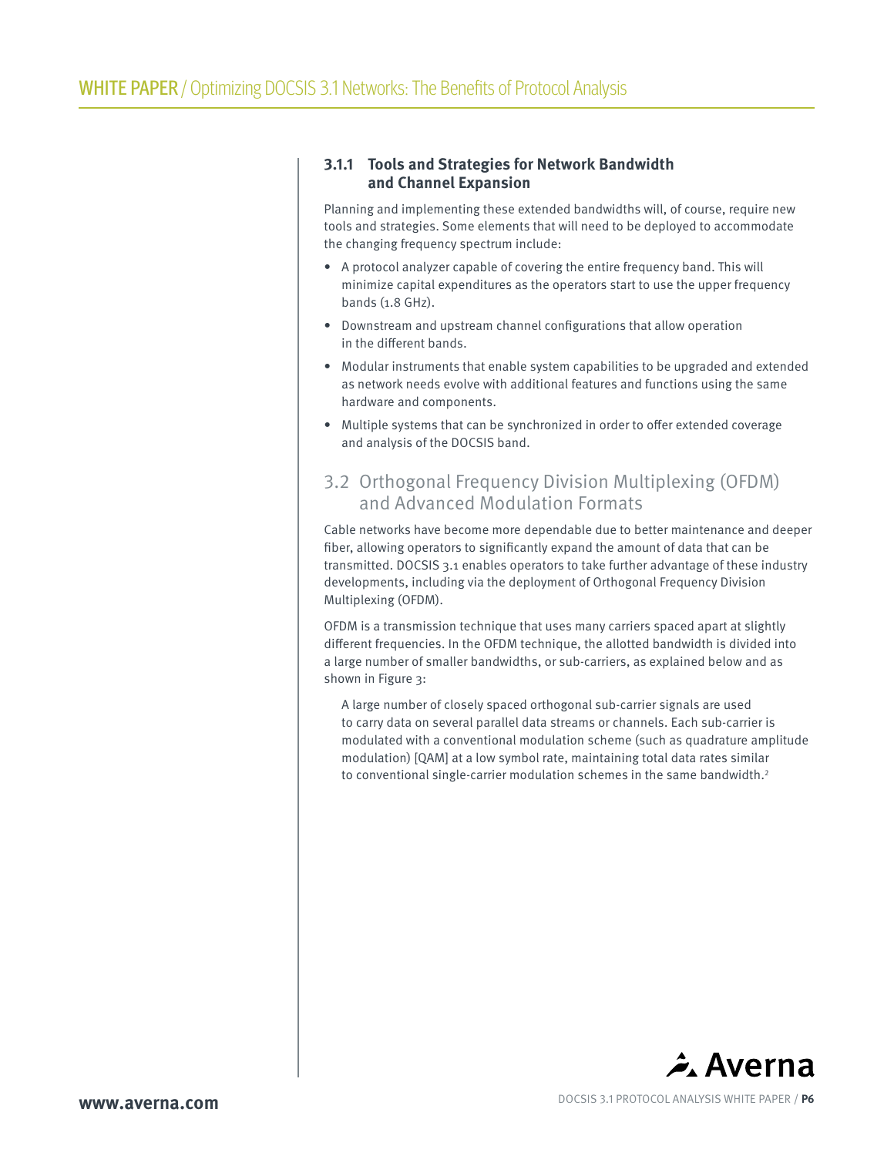## **3.1.1 Tools and Strategies for Network Bandwidth and Channel Expansion**

Planning and implementing these extended bandwidths will, of course, require new tools and strategies. Some elements that will need to be deployed to accommodate the changing frequency spectrum include:

- A protocol analyzer capable of covering the entire frequency band. This will minimize capital expenditures as the operators start to use the upper frequency bands (1.8 GHz).
- Downstream and upstream channel configurations that allow operation in the different bands.
- Modular instruments that enable system capabilities to be upgraded and extended as network needs evolve with additional features and functions using the same hardware and components.
- Multiple systems that can be synchronized in order to offer extended coverage and analysis of the DOCSIS band.

## 3.2 Orthogonal Frequency Division Multiplexing (OFDM) and Advanced Modulation Formats

Cable networks have become more dependable due to better maintenance and deeper fiber, allowing operators to significantly expand the amount of data that can be transmitted. DOCSIS 3.1 enables operators to take further advantage of these industry developments, including via the deployment of Orthogonal Frequency Division Multiplexing (OFDM).

OFDM is a transmission technique that uses many carriers spaced apart at slightly different frequencies. In the OFDM technique, the allotted bandwidth is divided into a large number of smaller bandwidths, or sub-carriers, as explained below and as shown in Figure 3:

A large number of closely spaced orthogonal sub-carrier signals are used to carry data on several parallel data streams or channels. Each sub-carrier is modulated with a conventional modulation scheme (such as quadrature amplitude modulation) [QAM] at a low symbol rate, maintaining total data rates similar to conventional single-carrier modulation schemes in the same bandwidth.<sup>2</sup>

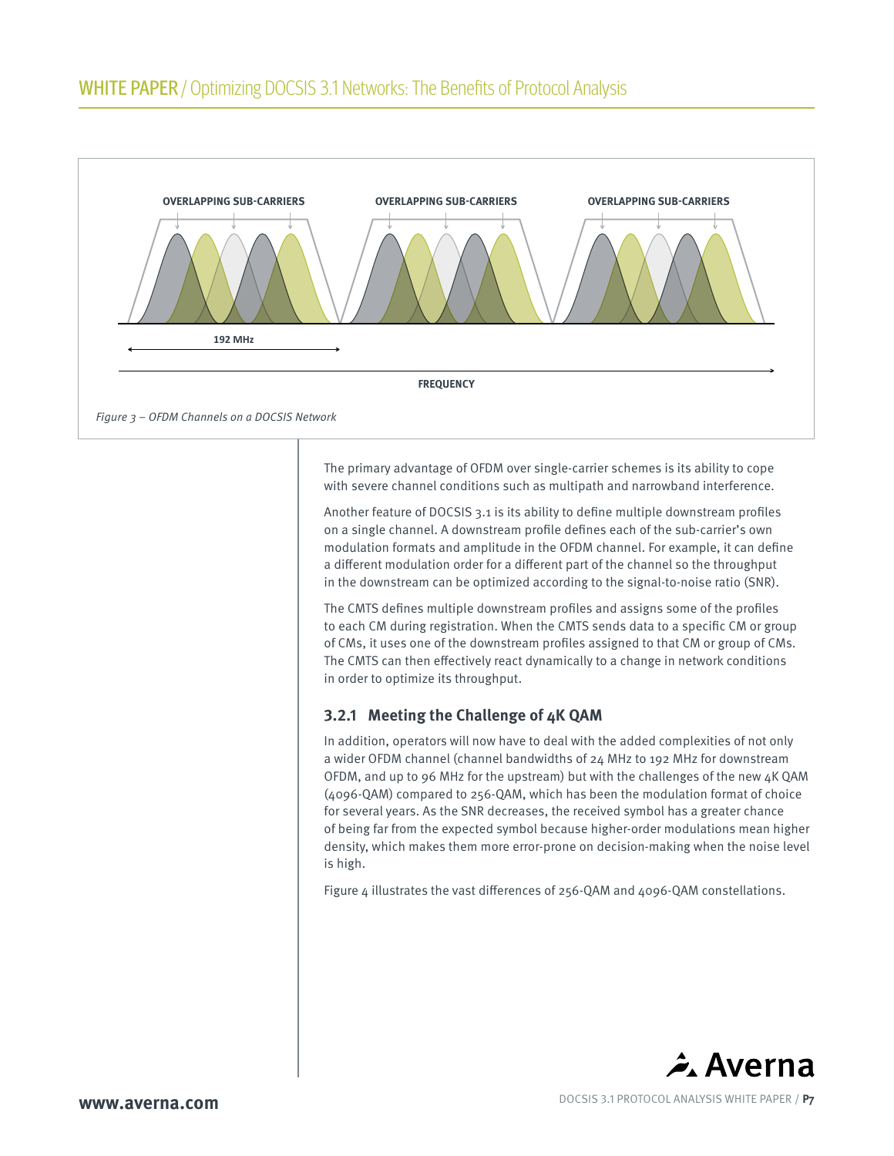

The primary advantage of OFDM over single-carrier schemes is its ability to cope with severe channel conditions such as multipath and narrowband interference.

Another feature of DOCSIS 3.1 is its ability to define multiple downstream profiles on a single channel. A downstream profile defines each of the sub-carrier's own modulation formats and amplitude in the OFDM channel. For example, it can define a different modulation order for a different part of the channel so the throughput in the downstream can be optimized according to the signal-to-noise ratio (SNR).

The CMTS defines multiple downstream profiles and assigns some of the profiles to each CM during registration. When the CMTS sends data to a specific CM or group of CMs, it uses one of the downstream profiles assigned to that CM or group of CMs. The CMTS can then effectively react dynamically to a change in network conditions in order to optimize its throughput.

## **3.2.1 Meeting the Challenge of 4K QAM**

In addition, operators will now have to deal with the added complexities of not only a wider OFDM channel (channel bandwidths of 24 MHz to 192 MHz for downstream OFDM, and up to 96 MHz for the upstream) but with the challenges of the new 4K QAM (4096-QAM) compared to 256-QAM, which has been the modulation format of choice for several years. As the SNR decreases, the received symbol has a greater chance of being far from the expected symbol because higher-order modulations mean higher density, which makes them more error-prone on decision-making when the noise level is high.

Figure 4 illustrates the vast differences of 256-QAM and 4096-QAM constellations.

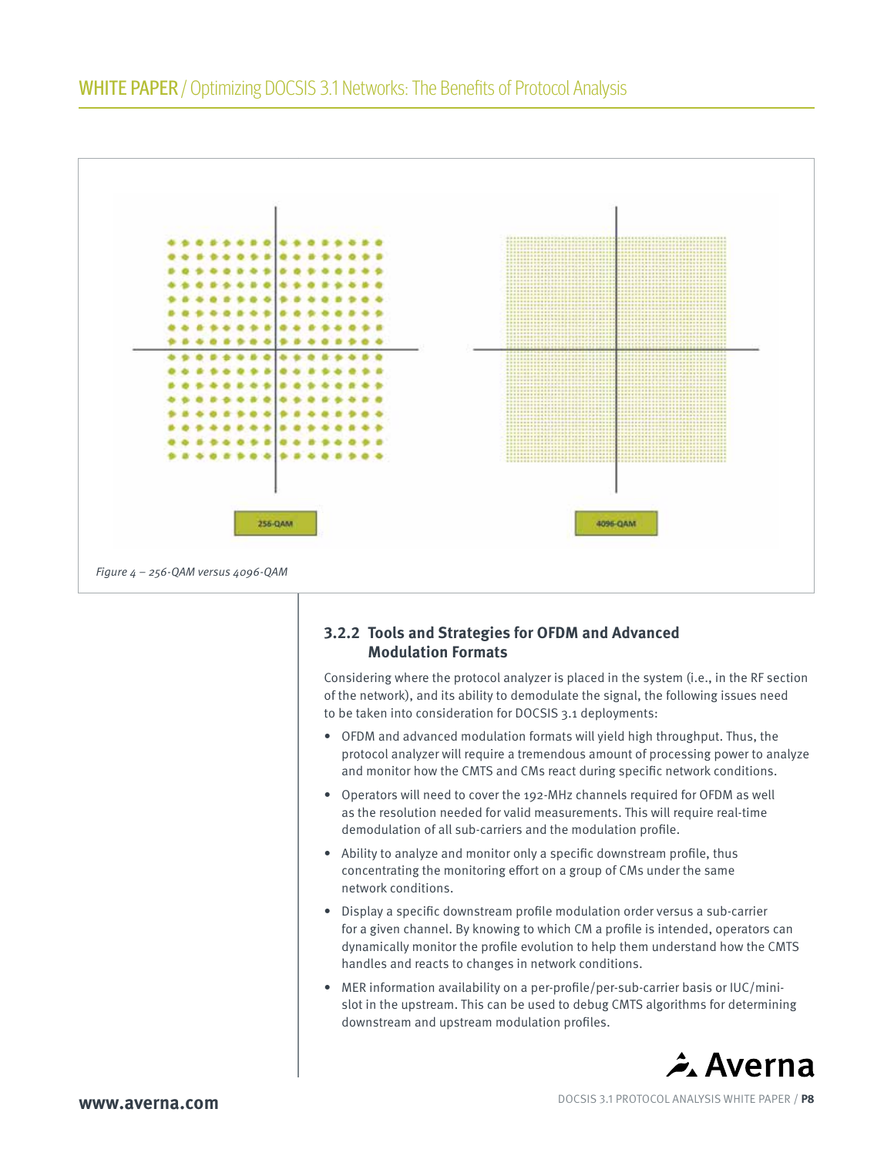

## **3.2.2 Tools and Strategies for OFDM and Advanced Modulation Formats**

Considering where the protocol analyzer is placed in the system (i.e., in the RF section of the network), and its ability to demodulate the signal, the following issues need to be taken into consideration for DOCSIS 3.1 deployments:

- OFDM and advanced modulation formats will yield high throughput. Thus, the protocol analyzer will require a tremendous amount of processing power to analyze and monitor how the CMTS and CMs react during specific network conditions.
- Operators will need to cover the 192-MHz channels required for OFDM as well as the resolution needed for valid measurements. This will require real-time demodulation of all sub-carriers and the modulation profile.
- Ability to analyze and monitor only a specific downstream profile, thus concentrating the monitoring effort on a group of CMs under the same network conditions.
- Display a specific downstream profile modulation order versus a sub-carrier for a given channel. By knowing to which CM a profile is intended, operators can dynamically monitor the profile evolution to help them understand how the CMTS handles and reacts to changes in network conditions.
- MER information availability on a per-profile/per-sub-carrier basis or IUC/minislot in the upstream. This can be used to debug CMTS algorithms for determining downstream and upstream modulation profiles.

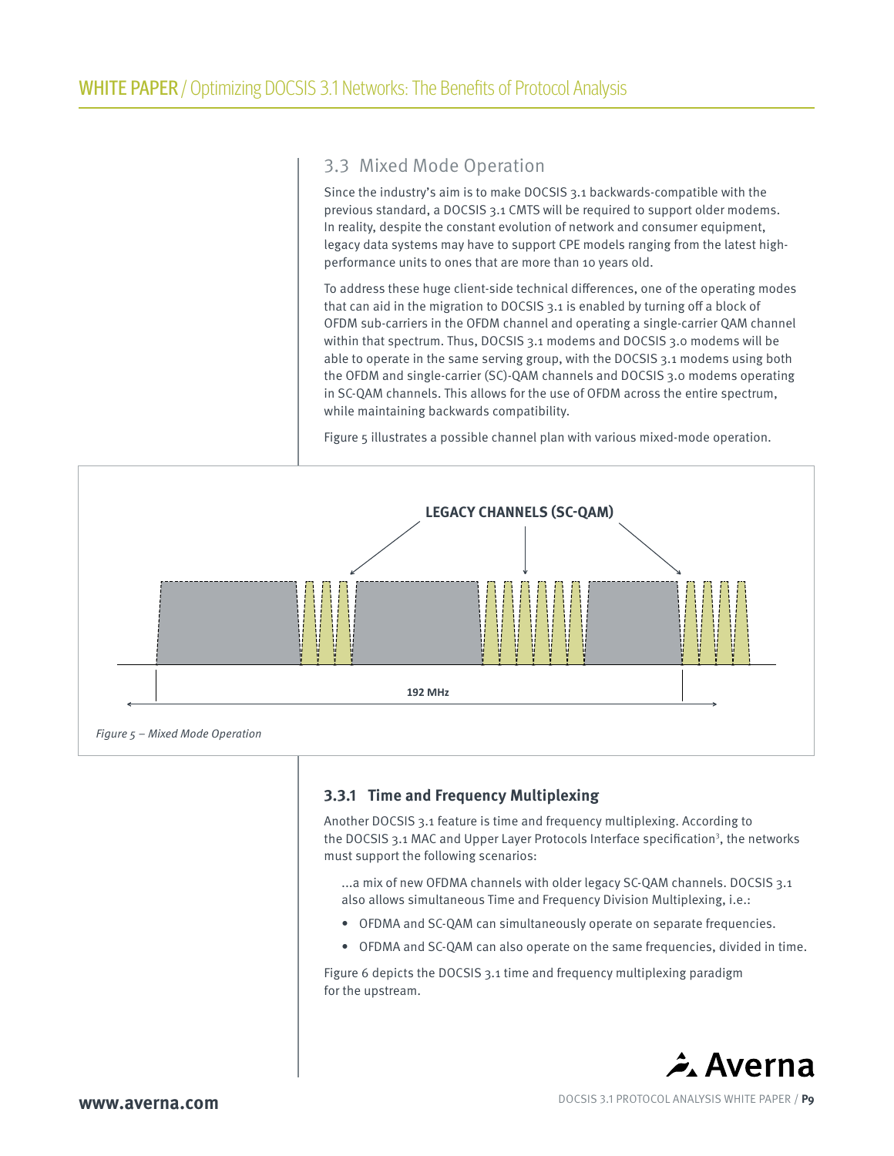## 3.3 Mixed Mode Operation

Since the industry's aim is to make DOCSIS 3.1 backwards-compatible with the previous standard, a DOCSIS 3.1 CMTS will be required to support older modems. In reality, despite the constant evolution of network and consumer equipment, legacy data systems may have to support CPE models ranging from the latest highperformance units to ones that are more than 10 years old.

To address these huge client-side technical differences, one of the operating modes that can aid in the migration to DOCSIS 3.1 is enabled by turning off a block of OFDM sub-carriers in the OFDM channel and operating a single-carrier QAM channel within that spectrum. Thus, DOCSIS 3.1 modems and DOCSIS 3.0 modems will be able to operate in the same serving group, with the DOCSIS 3.1 modems using both the OFDM and single-carrier (SC)-QAM channels and DOCSIS 3.0 modems operating in SC-QAM channels. This allows for the use of OFDM across the entire spectrum, while maintaining backwards compatibility.

Figure 5 illustrates a possible channel plan with various mixed-mode operation.



### **3.3.1 Time and Frequency Multiplexing**

Another DOCSIS 3.1 feature is time and frequency multiplexing. According to the DOCSIS 3.1 MAC and Upper Layer Protocols Interface specification<sup>3</sup>, the networks must support the following scenarios:

...a mix of new OFDMA channels with older legacy SC-QAM channels. DOCSIS 3.1 also allows simultaneous Time and Frequency Division Multiplexing, i.e.:

- OFDMA and SC-QAM can simultaneously operate on separate frequencies.
- OFDMA and SC-QAM can also operate on the same frequencies, divided in time.

Figure 6 depicts the DOCSIS 3.1 time and frequency multiplexing paradigm for the upstream.



**www.averna.com DOCSIS 3.1 PROTOCOL ANALYSIS WHITE PAPER / P9**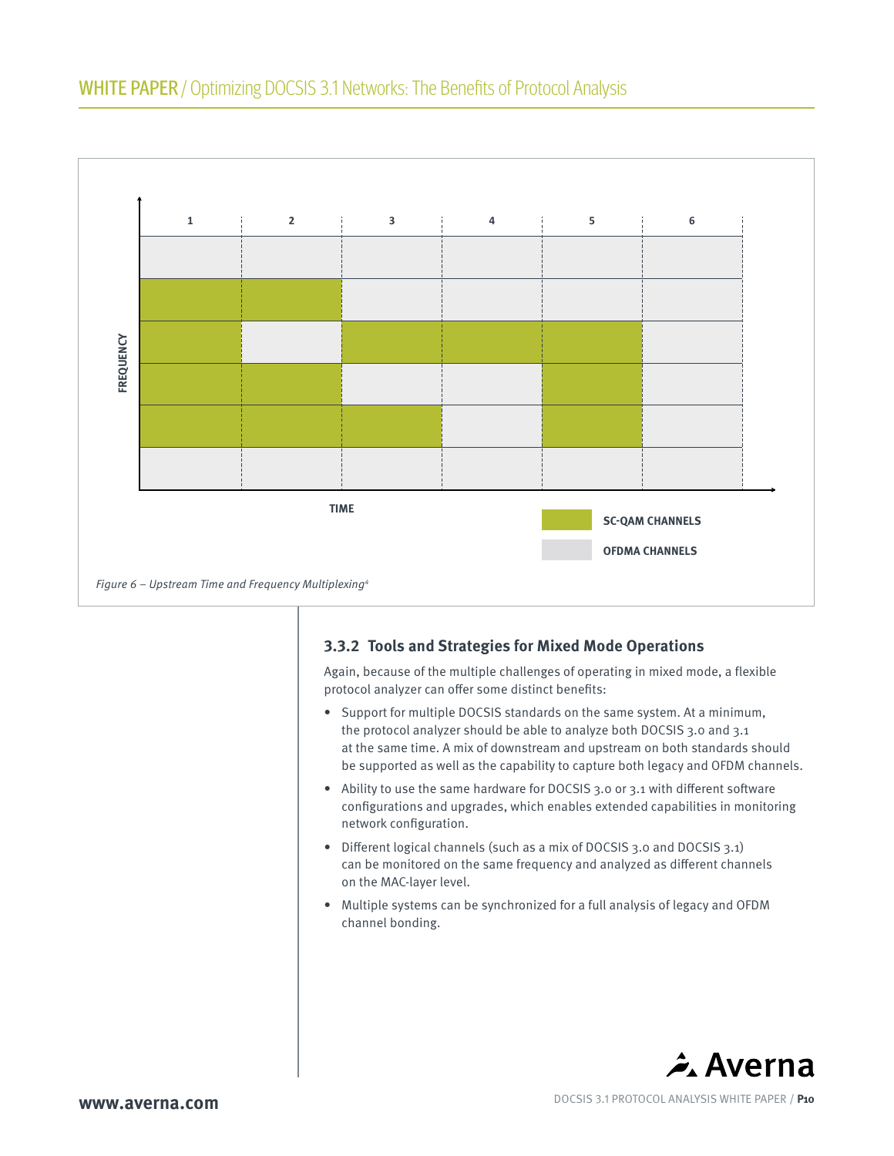

## **3.3.2 Tools and Strategies for Mixed Mode Operations**

Again, because of the multiple challenges of operating in mixed mode, a flexible protocol analyzer can offer some distinct benefits:

- Support for multiple DOCSIS standards on the same system. At a minimum, the protocol analyzer should be able to analyze both DOCSIS 3.0 and 3.1 at the same time. A mix of downstream and upstream on both standards should be supported as well as the capability to capture both legacy and OFDM channels.
- Ability to use the same hardware for DOCSIS 3.0 or 3.1 with different software configurations and upgrades, which enables extended capabilities in monitoring network configuration.
- Different logical channels (such as a mix of DOCSIS 3.0 and DOCSIS 3.1) can be monitored on the same frequency and analyzed as different channels on the MAC-layer level.
- Multiple systems can be synchronized for a full analysis of legacy and OFDM channel bonding.